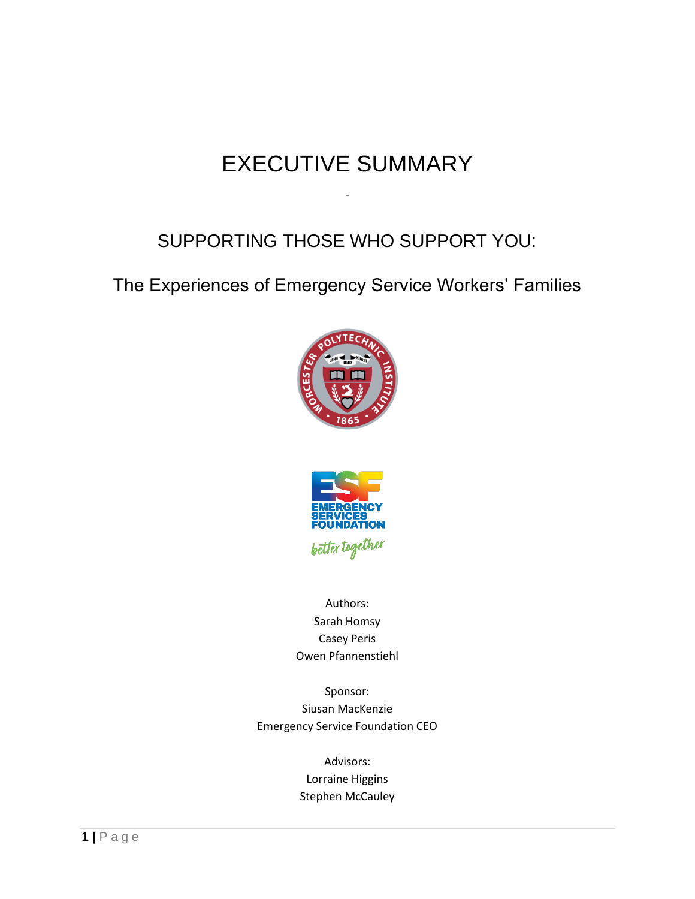# EXECUTIVE SUMMARY

-

#### SUPPORTING THOSE WHO SUPPORT YOU:

The Experiences of Emergency Service Workers' Families





Authors: Sarah Homsy Casey Peris Owen Pfannenstiehl

Sponsor: Siusan MacKenzie Emergency Service Foundation CEO

> Advisors: Lorraine Higgins Stephen McCauley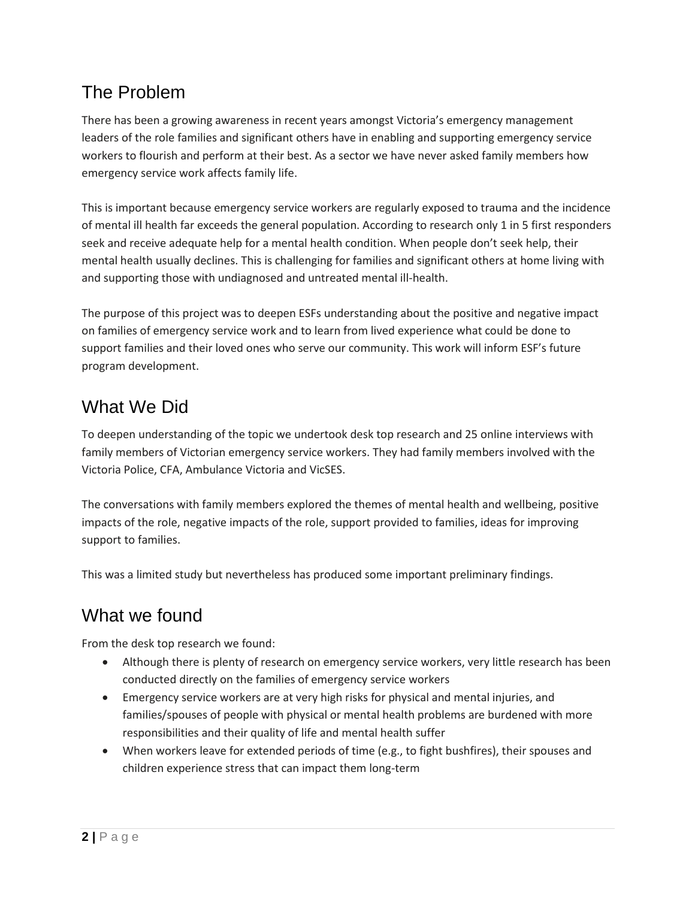### The Problem

There has been a growing awareness in recent years amongst Victoria's emergency management leaders of the role families and significant others have in enabling and supporting emergency service workers to flourish and perform at their best. As a sector we have never asked family members how emergency service work affects family life.

This is important because emergency service workers are regularly exposed to trauma and the incidence of mental ill health far exceeds the general population. According to research only 1 in 5 first responders seek and receive adequate help for a mental health condition. When people don't seek help, their mental health usually declines. This is challenging for families and significant others at home living with and supporting those with undiagnosed and untreated mental ill-health.

The purpose of this project was to deepen ESFs understanding about the positive and negative impact on families of emergency service work and to learn from lived experience what could be done to support families and their loved ones who serve our community. This work will inform ESF's future program development.

## What We Did

To deepen understanding of the topic we undertook desk top research and 25 online interviews with family members of Victorian emergency service workers. They had family members involved with the Victoria Police, CFA, Ambulance Victoria and VicSES.

The conversations with family members explored the themes of mental health and wellbeing, positive impacts of the role, negative impacts of the role, support provided to families, ideas for improving support to families.

This was a limited study but nevertheless has produced some important preliminary findings.

### What we found

From the desk top research we found:

- Although there is plenty of research on emergency service workers, very little research has been conducted directly on the families of emergency service workers
- Emergency service workers are at very high risks for physical and mental injuries, and families/spouses of people with physical or mental health problems are burdened with more responsibilities and their quality of life and mental health suffer
- When workers leave for extended periods of time (e.g., to fight bushfires), their spouses and children experience stress that can impact them long-term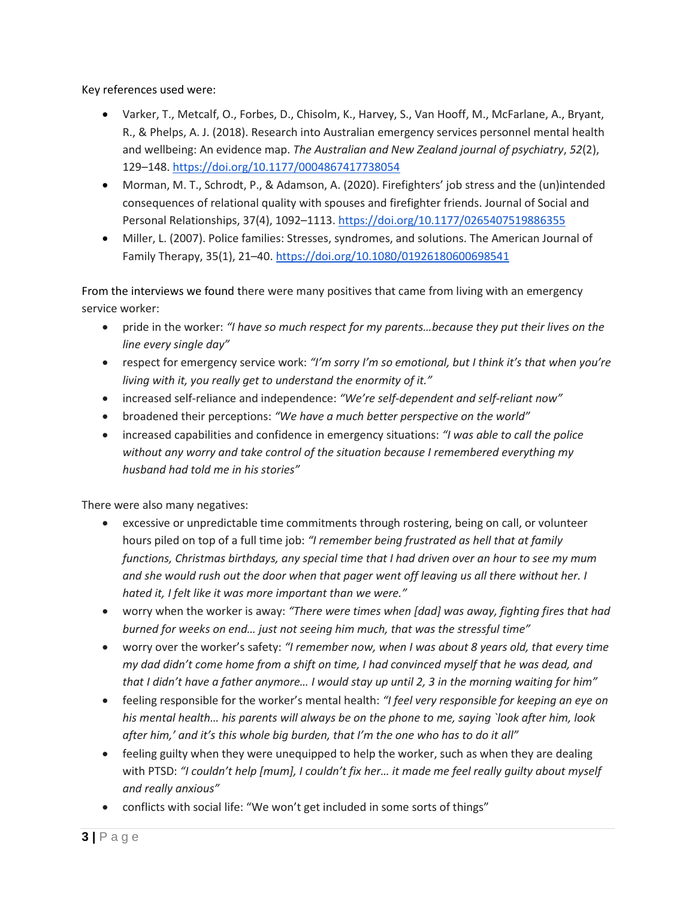Key references used were:

- Varker, T., Metcalf, O., Forbes, D., Chisolm, K., Harvey, S., Van Hooff, M., McFarlane, A., Bryant, R., & Phelps, A. J. (2018). Research into Australian emergency services personnel mental health and wellbeing: An evidence map. *The Australian and New Zealand journal of psychiatry*, *52*(2), 129–148.<https://doi.org/10.1177/0004867417738054>
- Morman, M. T., Schrodt, P., & Adamson, A. (2020). Firefighters' job stress and the (un)intended consequences of relational quality with spouses and firefighter friends. Journal of Social and Personal Relationships, 37(4), 1092–1113.<https://doi.org/10.1177/0265407519886355>
- Miller, L. (2007). Police families: Stresses, syndromes, and solutions. The American Journal of Family Therapy, 35(1), 21-40. https://doi.org/10.1080/01926180600698541

From the interviews we found there were many positives that came from living with an emergency service worker:

- pride in the worker: *"I have so much respect for my parents…because they put their lives on the line every single day"*
- respect for emergency service work: *"I'm sorry I'm so emotional, but I think it's that when you're living with it, you really get to understand the enormity of it."*
- increased self-reliance and independence: *"We're self-dependent and self-reliant now"*
- broadened their perceptions: *"We have a much better perspective on the world"*
- increased capabilities and confidence in emergency situations: *"I was able to call the police without any worry and take control of the situation because I remembered everything my husband had told me in his stories"*

There were also many negatives:

- excessive or unpredictable time commitments through rostering, being on call, or volunteer hours piled on top of a full time job: *"I remember being frustrated as hell that at family functions, Christmas birthdays, any special time that I had driven over an hour to see my mum and she would rush out the door when that pager went off leaving us all there without her. I hated it, I felt like it was more important than we were."*
- worry when the worker is away: *"There were times when [dad] was away, fighting fires that had burned for weeks on end… just not seeing him much, that was the stressful time"*
- worry over the worker's safety: *"I remember now, when I was about 8 years old, that every time my dad didn't come home from a shift on time, I had convinced myself that he was dead, and that I didn't have a father anymore… I would stay up until 2, 3 in the morning waiting for him"*
- feeling responsible for the worker's mental health: *"I feel very responsible for keeping an eye on his mental health… his parents will always be on the phone to me, saying `look after him, look after him,' and it's this whole big burden, that I'm the one who has to do it all"*
- feeling guilty when they were unequipped to help the worker, such as when they are dealing with PTSD: *"I couldn't help [mum], I couldn't fix her… it made me feel really guilty about myself and really anxious"*
- conflicts with social life: "We won't get included in some sorts of things"